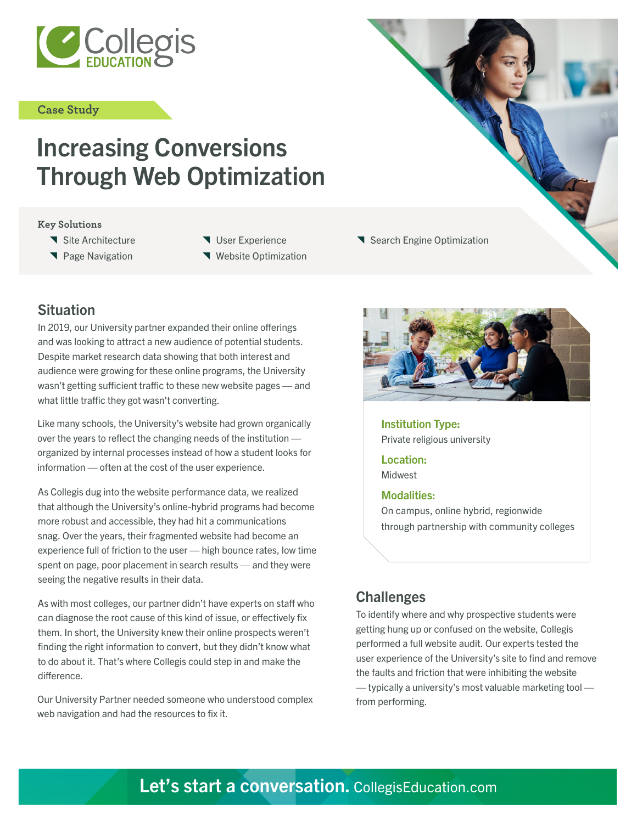

#### **Case Study**

# Increasing Conversions Through Web Optimization

#### **Key Solutions**

- **\** Site Architecture
- **T** Page Navigation
- User Experience
- **Website Optimization**

# **Situation**

In 2019, our University partner expanded their online offerings and was looking to attract a new audience of potential students. Despite market research data showing that both interest and audience were growing for these online programs, the University wasn't getting sufficient traffic to these new website pages — and what little traffic they got wasn't converting.

Like many schools, the University's website had grown organically over the years to reflect the changing needs of the institution organized by internal processes instead of how a student looks for information — often at the cost of the user experience.

As Collegis dug into the website performance data, we realized that although the University's online-hybrid programs had become more robust and accessible, they had hit a communications snag. Over the years, their fragmented website had become an experience full of friction to the user — high bounce rates, low time spent on page, poor placement in search results — and they were seeing the negative results in their data.

As with most colleges, our partner didn't have experts on staff who can diagnose the root cause of this kind of issue, or effectively fix them. In short, the University knew their online prospects weren't finding the right information to convert, but they didn't know what to do about it. That's where Collegis could step in and make the difference.

Our University Partner needed someone who understood complex web navigation and had the resources to fix it.



Institution Type: Private religious university

Search Engine Optimization

Location: Midwest

#### Modalities:

On campus, online hybrid, regionwide through partnership with community colleges

# Challenges

To identify where and why prospective students were getting hung up or confused on the website, Collegis performed a full website audit. Our experts tested the user experience of the University's site to find and remove the faults and friction that were inhibiting the website — typically a university's most valuable marketing tool from performing.